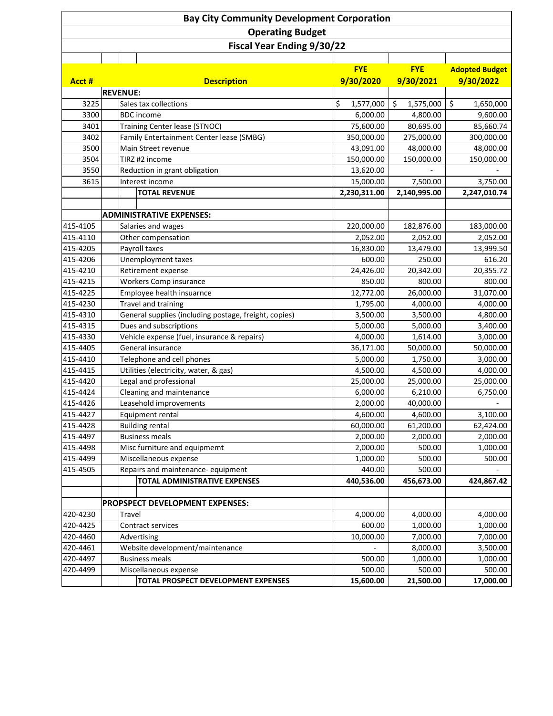|                      |                                 | <b>Bay City Community Development Corporation</b>                |                       |                       |                       |
|----------------------|---------------------------------|------------------------------------------------------------------|-----------------------|-----------------------|-----------------------|
|                      |                                 | <b>Operating Budget</b>                                          |                       |                       |                       |
|                      |                                 | <b>Fiscal Year Ending 9/30/22</b>                                |                       |                       |                       |
|                      |                                 |                                                                  |                       |                       |                       |
|                      |                                 |                                                                  | <b>FYE</b>            | <b>FYE</b>            | <b>Adopted Budget</b> |
| Acct #               | <b>Description</b>              |                                                                  | 9/30/2020             | 9/30/2021             | 9/30/2022             |
|                      |                                 | <b>REVENUE:</b>                                                  |                       |                       |                       |
| 3225                 |                                 | Sales tax collections                                            | \$<br>1,577,000       | \$<br>1,575,000       | \$<br>1,650,000       |
| 3300                 |                                 | <b>BDC</b> income                                                | 6,000.00              | 4,800.00              | 9,600.00              |
| 3401                 |                                 | Training Center lease (STNOC)                                    | 75,600.00             | 80,695.00             | 85,660.74             |
| 3402                 |                                 | Family Entertainment Center lease (SMBG)                         | 350,000.00            | 275,000.00            | 300,000.00            |
| 3500                 |                                 | Main Street revenue                                              | 43,091.00             | 48,000.00             | 48,000.00             |
| 3504                 |                                 | TIRZ #2 income                                                   | 150,000.00            | 150,000.00            | 150,000.00            |
| 3550                 |                                 | Reduction in grant obligation                                    | 13,620.00             |                       |                       |
| 3615                 |                                 | Interest income                                                  | 15,000.00             | 7,500.00              | 3,750.00              |
|                      |                                 | <b>TOTAL REVENUE</b>                                             | 2,230,311.00          | 2,140,995.00          | 2,247,010.74          |
|                      |                                 |                                                                  |                       |                       |                       |
|                      |                                 | <b>ADMINISTRATIVE EXPENSES:</b>                                  |                       |                       |                       |
| 415-4105             |                                 | Salaries and wages                                               | 220,000.00            | 182,876.00            | 183,000.00            |
| 415-4110             |                                 | Other compensation                                               | 2,052.00              | 2,052.00              | 2,052.00              |
| 415-4205             |                                 | Payroll taxes                                                    | 16,830.00             | 13,479.00             | 13,999.50             |
| 415-4206             |                                 | Unemployment taxes                                               | 600.00                | 250.00                | 616.20                |
| 415-4210             |                                 | Retirement expense                                               | 24,426.00             | 20,342.00             | 20,355.72             |
| 415-4215             |                                 | Workers Comp insurance                                           | 850.00                | 800.00                | 800.00                |
| 415-4225             |                                 | Employee health insuarnce                                        | 12,772.00             | 26,000.00             | 31,070.00             |
| 415-4230             |                                 | Travel and training                                              | 1,795.00              | 4,000.00              | 4,000.00              |
| 415-4310             |                                 | General supplies (including postage, freight, copies)            | 3,500.00              | 3,500.00              | 4,800.00              |
| 415-4315             |                                 | Dues and subscriptions                                           | 5,000.00              | 5,000.00              | 3,400.00              |
| 415-4330<br>415-4405 |                                 | Vehicle expense (fuel, insurance & repairs)<br>General insurance | 4,000.00<br>36,171.00 | 1,614.00<br>50,000.00 | 3,000.00<br>50,000.00 |
| 415-4410             |                                 | Telephone and cell phones                                        | 5,000.00              | 1,750.00              | 3,000.00              |
| 415-4415             |                                 | Utilities (electricity, water, & gas)                            | 4,500.00              | 4,500.00              | 4,000.00              |
| 415-4420             |                                 | Legal and professional                                           | 25,000.00             | 25,000.00             | 25,000.00             |
| 415-4424             |                                 | Cleaning and maintenance                                         | 6,000.00              | 6,210.00              | 6,750.00              |
| 415-4426             |                                 | Leasehold improvements                                           | 2,000.00              | 40,000.00             |                       |
| 415-4427             |                                 | Equipment rental                                                 | 4,600.00              | 4,600.00              | 3,100.00              |
| 415-4428             |                                 | <b>Building rental</b>                                           | 60,000.00             | 61,200.00             | 62,424.00             |
| 415-4497             |                                 | <b>Business meals</b>                                            | 2,000.00              | 2,000.00              | 2,000.00              |
| 415-4498             |                                 | Misc furniture and equipmemt                                     | 2,000.00              | 500.00                | 1,000.00              |
| 415-4499             |                                 | Miscellaneous expense                                            | 1,000.00              | 500.00                | 500.00                |
| 415-4505             |                                 | Repairs and maintenance- equipment                               | 440.00                | 500.00                |                       |
|                      |                                 | <b>TOTAL ADMINISTRATIVE EXPENSES</b>                             | 440,536.00            | 456,673.00            | 424,867.42            |
|                      |                                 |                                                                  |                       |                       |                       |
|                      |                                 | <b>PROPSPECT DEVELOPMENT EXPENSES:</b>                           |                       |                       |                       |
| 420-4230             | Travel                          |                                                                  | 4,000.00              | 4,000.00              | 4,000.00              |
| 420-4425             |                                 | Contract services                                                | 600.00                | 1,000.00              | 1,000.00              |
| 420-4460             | Advertising                     |                                                                  | 10,000.00             | 7,000.00              | 7,000.00              |
| 420-4461             | Website development/maintenance |                                                                  |                       | 8,000.00              | 3,500.00              |
| 420-4497             |                                 | <b>Business meals</b>                                            | 500.00                | 1,000.00              | 1,000.00              |
| 420-4499             |                                 | Miscellaneous expense                                            | 500.00                | 500.00                | 500.00                |
|                      |                                 | TOTAL PROSPECT DEVELOPMENT EXPENSES                              | 15,600.00             | 21,500.00             | 17,000.00             |